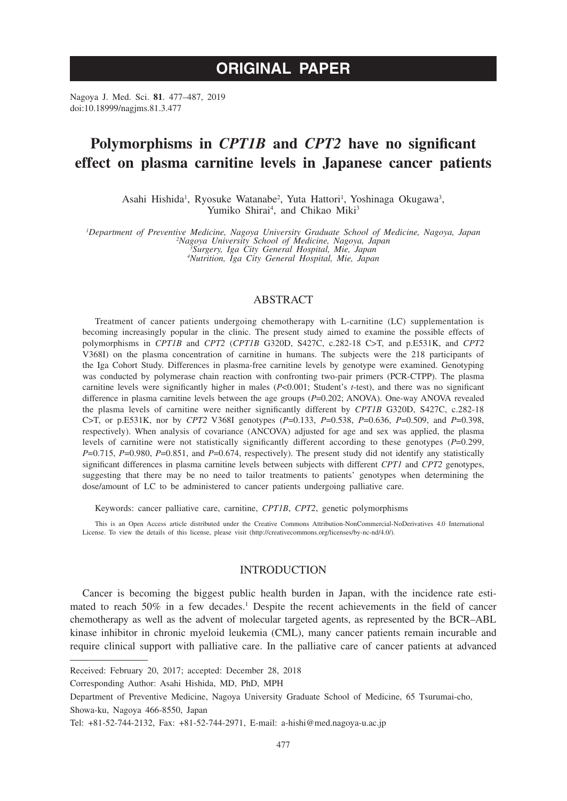# **ORIGINAL PAPER**

Nagoya J. Med. Sci. **81**. 477–487, 2019 doi:10.18999/nagjms.81.3.477

# **Polymorphisms in** *CPT1B* **and** *CPT2* **have no significant effect on plasma carnitine levels in Japanese cancer patients**

Asahi Hishida<sup>1</sup>, Ryosuke Watanabe<sup>2</sup>, Yuta Hattori<sup>1</sup>, Yoshinaga Okugawa<sup>3</sup>, Yumiko Shirai<sup>4</sup>, and Chikao Miki<sup>3</sup>

*1 Department of Preventive Medicine, Nagoya University Graduate School of Medicine, Nagoya, Japan <sup>2</sup> Nagoya University School of Medicine, Nagoya, Japan <sup>3</sup> Surgery, Iga City General Hospital, Mie, Japan 4 Nutrition, Iga City General Hospital, Mie, Japan*

# ABSTRACT

Treatment of cancer patients undergoing chemotherapy with L-carnitine (LC) supplementation is becoming increasingly popular in the clinic. The present study aimed to examine the possible effects of polymorphisms in *CPT1B* and *CPT2* (*CPT1B* G320D, S427C, c.282-18 C>T, and p.E531K, and *CPT2* V368I) on the plasma concentration of carnitine in humans. The subjects were the 218 participants of the Iga Cohort Study. Differences in plasma-free carnitine levels by genotype were examined. Genotyping was conducted by polymerase chain reaction with confronting two-pair primers (PCR-CTPP). The plasma carnitine levels were significantly higher in males (*P*<0.001; Student's *t*-test), and there was no significant difference in plasma carnitine levels between the age groups (*P*=0.202; ANOVA). One-way ANOVA revealed the plasma levels of carnitine were neither significantly different by *CPT1B* G320D, S427C, c.282-18 C>T, or p.E531K, nor by *CPT2* V368I genotypes (*P*=0.133, *P*=0.538, *P*=0.636, *P*=0.509, and *P*=0.398, respectively). When analysis of covariance (ANCOVA) adjusted for age and sex was applied, the plasma levels of carnitine were not statistically significantly different according to these genotypes (*P*=0.299, *P*=0.715, *P*=0.980, *P*=0.851, and *P*=0.674, respectively). The present study did not identify any statistically significant differences in plasma carnitine levels between subjects with different *CPT1* and *CPT2* genotypes, suggesting that there may be no need to tailor treatments to patients' genotypes when determining the dose/amount of LC to be administered to cancer patients undergoing palliative care.

Keywords: cancer palliative care, carnitine, *CPT1B*, *CPT2*, genetic polymorphisms

This is an Open Access article distributed under the Creative Commons Attribution-NonCommercial-NoDerivatives 4.0 International License. To view the details of this license, please visit (http://creativecommons.org/licenses/by-nc-nd/4.0/).

## **INTRODUCTION**

Cancer is becoming the biggest public health burden in Japan, with the incidence rate estimated to reach  $50\%$  in a few decades.<sup>1</sup> Despite the recent achievements in the field of cancer chemotherapy as well as the advent of molecular targeted agents, as represented by the BCR–ABL kinase inhibitor in chronic myeloid leukemia (CML), many cancer patients remain incurable and require clinical support with palliative care. In the palliative care of cancer patients at advanced

Received: February 20, 2017; accepted: December 28, 2018

Corresponding Author: Asahi Hishida, MD, PhD, MPH

Department of Preventive Medicine, Nagoya University Graduate School of Medicine, 65 Tsurumai-cho, Showa-ku, Nagoya 466-8550, Japan

Tel: +81-52-744-2132, Fax: +81-52-744-2971, E-mail: a-hishi@med.nagoya-u.ac.jp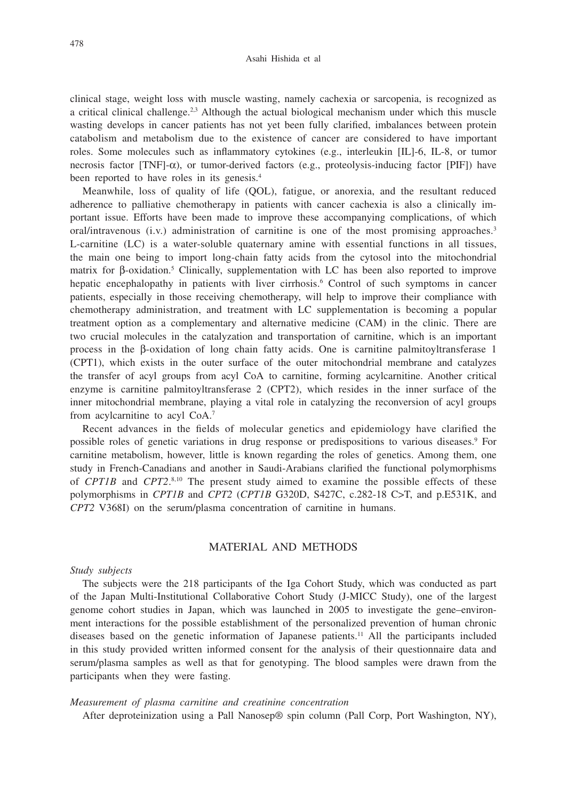clinical stage, weight loss with muscle wasting, namely cachexia or sarcopenia, is recognized as a critical clinical challenge.<sup>2,3</sup> Although the actual biological mechanism under which this muscle wasting develops in cancer patients has not yet been fully clarified, imbalances between protein catabolism and metabolism due to the existence of cancer are considered to have important roles. Some molecules such as inflammatory cytokines (e.g., interleukin [IL]-6, IL-8, or tumor necrosis factor  $[TNF]-\alpha$ ), or tumor-derived factors (e.g., proteolysis-inducing factor [PIF]) have been reported to have roles in its genesis.<sup>4</sup>

Meanwhile, loss of quality of life (QOL), fatigue, or anorexia, and the resultant reduced adherence to palliative chemotherapy in patients with cancer cachexia is also a clinically important issue. Efforts have been made to improve these accompanying complications, of which oral/intravenous  $(i.v.)$  administration of carnitine is one of the most promising approaches.<sup>3</sup> L-carnitine (LC) is a water-soluble quaternary amine with essential functions in all tissues, the main one being to import long-chain fatty acids from the cytosol into the mitochondrial matrix for β-oxidation.5 Clinically, supplementation with LC has been also reported to improve hepatic encephalopathy in patients with liver cirrhosis.<sup>6</sup> Control of such symptoms in cancer patients, especially in those receiving chemotherapy, will help to improve their compliance with chemotherapy administration, and treatment with LC supplementation is becoming a popular treatment option as a complementary and alternative medicine (CAM) in the clinic. There are two crucial molecules in the catalyzation and transportation of carnitine, which is an important process in the β-oxidation of long chain fatty acids. One is carnitine palmitoyltransferase 1 (CPT1), which exists in the outer surface of the outer mitochondrial membrane and catalyzes the transfer of acyl groups from acyl CoA to carnitine, forming acylcarnitine. Another critical enzyme is carnitine palmitoyltransferase 2 (CPT2), which resides in the inner surface of the inner mitochondrial membrane, playing a vital role in catalyzing the reconversion of acyl groups from acylcarnitine to acyl CoA.7

Recent advances in the fields of molecular genetics and epidemiology have clarified the possible roles of genetic variations in drug response or predispositions to various diseases.<sup>9</sup> For carnitine metabolism, however, little is known regarding the roles of genetics. Among them, one study in French-Canadians and another in Saudi-Arabians clarified the functional polymorphisms of *CPT1B* and *CPT2*. 8,10 The present study aimed to examine the possible effects of these polymorphisms in *CPT1B* and *CPT2* (*CPT1B* G320D, S427C, c.282-18 C>T, and p.E531K, and *CPT2* V368I) on the serum/plasma concentration of carnitine in humans.

# MATERIAL AND METHODS

## *Study subjects*

The subjects were the 218 participants of the Iga Cohort Study, which was conducted as part of the Japan Multi-Institutional Collaborative Cohort Study (J-MICC Study), one of the largest genome cohort studies in Japan, which was launched in 2005 to investigate the gene–environment interactions for the possible establishment of the personalized prevention of human chronic diseases based on the genetic information of Japanese patients.11 All the participants included in this study provided written informed consent for the analysis of their questionnaire data and serum/plasma samples as well as that for genotyping. The blood samples were drawn from the participants when they were fasting.

#### *Measurement of plasma carnitine and creatinine concentration*

After deproteinization using a Pall Nanosep® spin column (Pall Corp, Port Washington, NY),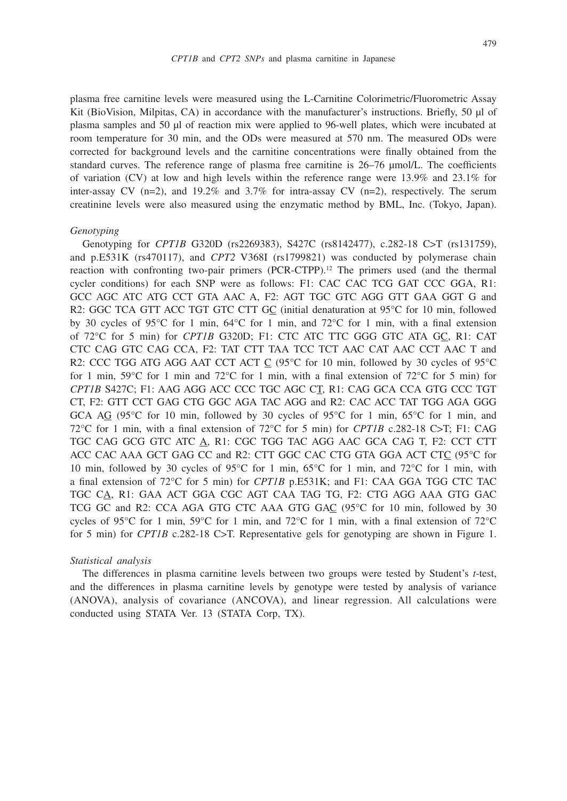plasma free carnitine levels were measured using the L-Carnitine Colorimetric/Fluorometric Assay Kit (BioVision, Milpitas, CA) in accordance with the manufacturer's instructions. Briefly, 50 μl of plasma samples and 50 μl of reaction mix were applied to 96-well plates, which were incubated at room temperature for 30 min, and the ODs were measured at 570 nm. The measured ODs were corrected for background levels and the carnitine concentrations were finally obtained from the standard curves. The reference range of plasma free carnitine is 26–76 μmol/L. The coefficients of variation (CV) at low and high levels within the reference range were  $13.9\%$  and  $23.1\%$  for inter-assay CV (n=2), and 19.2% and 3.7% for intra-assay CV (n=2), respectively. The serum creatinine levels were also measured using the enzymatic method by BML, Inc. (Tokyo, Japan).

#### *Genotyping*

Genotyping for *CPT1B* G320D (rs2269383), S427C (rs8142477), c.282-18 C>T (rs131759), and p.E531K (rs470117), and *CPT2* V368I (rs1799821) was conducted by polymerase chain reaction with confronting two-pair primers (PCR-CTPP).12 The primers used (and the thermal cycler conditions) for each SNP were as follows: F1: CAC CAC TCG GAT CCC GGA, R1: GCC AGC ATC ATG CCT GTA AAC A, F2: AGT TGC GTC AGG GTT GAA GGT G and R2: GGC TCA GTT ACC TGT GTC CTT GC (initial denaturation at 95°C for 10 min, followed by 30 cycles of 95°C for 1 min, 64°C for 1 min, and 72°C for 1 min, with a final extension of 72°C for 5 min) for *CPT1B* G320D; F1: CTC ATC TTC GGG GTC ATA GC, R1: CAT CTC CAG GTC CAG CCA, F2: TAT CTT TAA TCC TCT AAC CAT AAC CCT AAC T and R2: CCC TGG ATG AGG AAT CCT ACT C (95°C for 10 min, followed by 30 cycles of 95°C for 1 min,  $59^{\circ}$ C for 1 min and  $72^{\circ}$ C for 1 min, with a final extension of  $72^{\circ}$ C for 5 min) for *CPT1B* S427C; F1: AAG AGG ACC CCC TGC AGC CT, R1: CAG GCA CCA GTG CCC TGT CT, F2: GTT CCT GAG CTG GGC AGA TAC AGG and R2: CAC ACC TAT TGG AGA GGG GCA AG (95 $\degree$ C for 10 min, followed by 30 cycles of 95 $\degree$ C for 1 min, 65 $\degree$ C for 1 min, and 72°C for 1 min, with a final extension of 72°C for 5 min) for *CPT1B* c.282-18 C>T; F1: CAG TGC CAG GCG GTC ATC A, R1: CGC TGG TAC AGG AAC GCA CAG T, F2: CCT CTT ACC CAC AAA GCT GAG CC and R2: CTT GGC CAC CTG GTA GGA ACT CTC (95°C for 10 min, followed by 30 cycles of 95°C for 1 min, 65°C for 1 min, and 72°C for 1 min, with a final extension of 72°C for 5 min) for *CPT1B* p.E531K; and F1: CAA GGA TGG CTC TAC TGC CA, R1: GAA ACT GGA CGC AGT CAA TAG TG, F2: CTG AGG AAA GTG GAC TCG GC and R2: CCA AGA GTG CTC AAA GTG GAC (95°C for 10 min, followed by 30 cycles of 95°C for 1 min, 59°C for 1 min, and 72°C for 1 min, with a final extension of 72°C for 5 min) for *CPT1B* c.282-18 C>T. Representative gels for genotyping are shown in Figure 1.

#### *Statistical analysis*

The differences in plasma carnitine levels between two groups were tested by Student's *t*-test, and the differences in plasma carnitine levels by genotype were tested by analysis of variance (ANOVA), analysis of covariance (ANCOVA), and linear regression. All calculations were conducted using STATA Ver. 13 (STATA Corp, TX).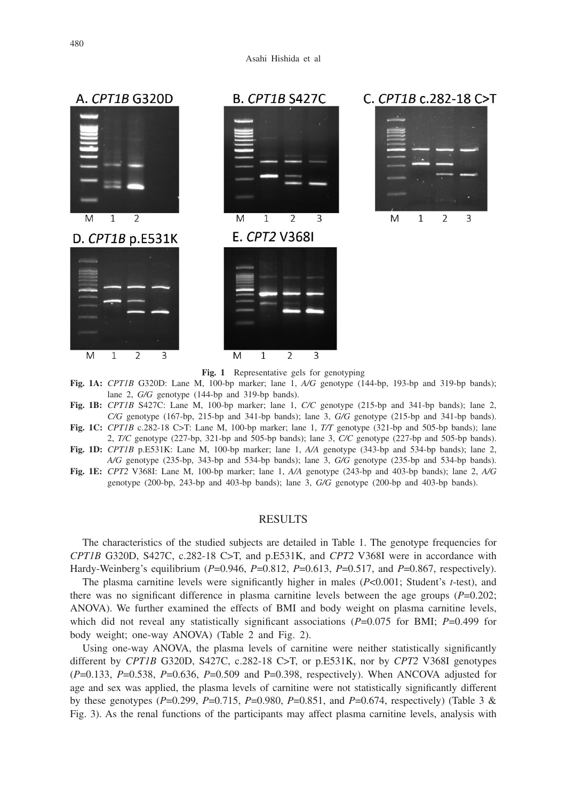

**Fig. 1** Representative gels for genotyping

- **Fig. 1A:** *CPT1B* G320D: Lane M, 100-bp marker; lane 1, *A/G* genotype (144-bp, 193-bp and 319-bp bands); lane 2, *G/G* genotype (144-bp and 319-bp bands).
- **Fig. 1B:** *CPT1B* S427C: Lane M, 100-bp marker; lane 1, *C/C* genotype (215-bp and 341-bp bands); lane 2, *C/G* genotype (167-bp, 215-bp and 341-bp bands); lane 3, *G/G* genotype (215-bp and 341-bp bands).
- **Fig. 1C:** *CPT1B* c.282-18 C>T: Lane M, 100-bp marker; lane 1, *T/T* genotype (321-bp and 505-bp bands); lane 2, *T/C* genotype (227-bp, 321-bp and 505-bp bands); lane 3, *C/C* genotype (227-bp and 505-bp bands).
- **Fig. 1D:** *CPT1B* p.E531K: Lane M, 100-bp marker; lane 1, *A/A* genotype (343-bp and 534-bp bands); lane 2, *A/G* genotype (235-bp, 343-bp and 534-bp bands); lane 3, *G/G* genotype (235-bp and 534-bp bands).
- **Fig. 1E:** *CPT2* V368I: Lane M, 100-bp marker; lane 1, *A/A* genotype (243-bp and 403-bp bands); lane 2, *A/G* genotype (200-bp, 243-bp and 403-bp bands); lane 3, *G/G* genotype (200-bp and 403-bp bands).

# RESULTS

The characteristics of the studied subjects are detailed in Table 1. The genotype frequencies for *CPT1B* G320D, S427C, c.282-18 C>T, and p.E531K, and *CPT2* V368I were in accordance with Hardy-Weinberg's equilibrium (*P*=0.946, *P*=0.812, *P*=0.613, *P*=0.517, and *P*=0.867, respectively).

The plasma carnitine levels were significantly higher in males (*P*<0.001; Student's *t*-test), and there was no significant difference in plasma carnitine levels between the age groups (*P*=0.202; ANOVA). We further examined the effects of BMI and body weight on plasma carnitine levels, which did not reveal any statistically significant associations (*P*=0.075 for BMI; *P*=0.499 for body weight; one-way ANOVA) (Table 2 and Fig. 2).

Using one-way ANOVA, the plasma levels of carnitine were neither statistically significantly different by *CPT1B* G320D, S427C, c.282-18 C>T, or p.E531K, nor by *CPT2* V368I genotypes (*P*=0.133, *P*=0.538, *P*=0.636, *P*=0.509 and P=0.398, respectively). When ANCOVA adjusted for age and sex was applied, the plasma levels of carnitine were not statistically significantly different by these genotypes (*P*=0.299, *P*=0.715, *P*=0.980, *P*=0.851, and *P*=0.674, respectively) (Table 3 & Fig. 3). As the renal functions of the participants may affect plasma carnitine levels, analysis with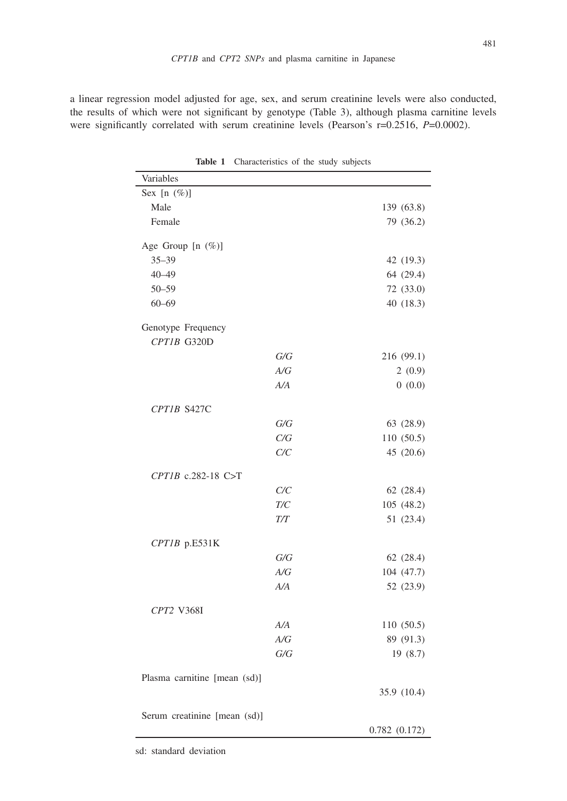a linear regression model adjusted for age, sex, and serum creatinine levels were also conducted, the results of which were not significant by genotype (Table 3), although plasma carnitine levels were significantly correlated with serum creatinine levels (Pearson's r=0.2516, *P*=0.0002).

| Variables                    |           |              |
|------------------------------|-----------|--------------|
| Sex $[n \ (\%)]$             |           |              |
| Male                         |           | 139 (63.8)   |
| Female                       |           | 79 (36.2)    |
| Age Group [n (%)]            |           |              |
| $35 - 39$                    |           | 42 (19.3)    |
| $40 - 49$                    |           | 64 (29.4)    |
| $50 - 59$                    |           | 72 (33.0)    |
| $60 - 69$                    |           | 40 (18.3)    |
| Genotype Frequency           |           |              |
| CPT1B G320D                  |           |              |
|                              | G/G       | 216 (99.1)   |
|                              | A/G       | 2(0.9)       |
|                              | A/A       | 0(0.0)       |
| CPT1B S427C                  |           |              |
|                              | G/G       | 63 (28.9)    |
|                              | C/G       | 110 (50.5)   |
|                              | C/C       | 45 (20.6)    |
| $CPTIB$ c.282-18 C>T         |           |              |
|                              | C/C       | 62 (28.4)    |
|                              | $T\!/\!C$ | 105 (48.2)   |
|                              | T/T       | 51 (23.4)    |
|                              |           |              |
| CPT1B p.E531K                |           |              |
|                              | G/G       | 62 (28.4)    |
|                              | A/G       | 104 (47.7)   |
|                              | A/A       | 52 (23.9)    |
| CPT2 V368I                   |           |              |
|                              | A/A       | 110 (50.5)   |
|                              | A/G       | 89 (91.3)    |
|                              | G/G       | 19 (8.7)     |
| Plasma carnitine [mean (sd)] |           |              |
|                              |           | 35.9 (10.4)  |
| Serum creatinine [mean (sd)] |           |              |
|                              |           | 0.782(0.172) |

**Table 1** Characteristics of the study subjects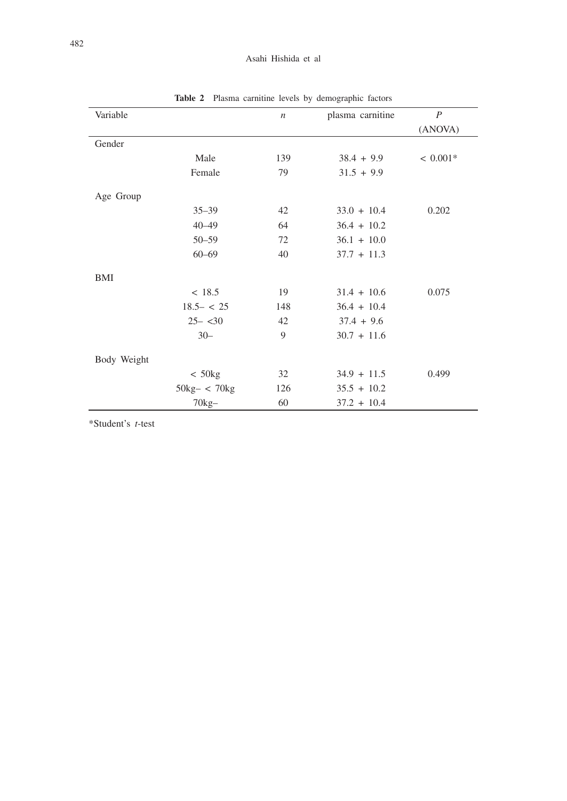# Asahi Hishida et al

| Variable    |                               | $\boldsymbol{n}$ | plasma carnitine | $\boldsymbol{P}$ |
|-------------|-------------------------------|------------------|------------------|------------------|
|             |                               |                  |                  | (ANOVA)          |
| Gender      |                               |                  |                  |                  |
|             | Male                          | 139              | $38.4 + 9.9$     | $< 0.001*$       |
|             | Female                        | 79               | $31.5 + 9.9$     |                  |
| Age Group   |                               |                  |                  |                  |
|             | $35 - 39$                     | 42               | $33.0 + 10.4$    | 0.202            |
|             | $40 - 49$                     | 64               | $36.4 + 10.2$    |                  |
|             | $50 - 59$                     | 72               | $36.1 + 10.0$    |                  |
|             | $60 - 69$                     | 40               | $37.7 + 11.3$    |                  |
| BMI         |                               |                  |                  |                  |
|             | < 18.5                        | 19               | $31.4 + 10.6$    | 0.075            |
|             | $18.5 - < 25$                 | 148              | $36.4 + 10.4$    |                  |
|             | $25 - 30$                     | 42               | $37.4 + 9.6$     |                  |
|             | $30 -$                        | 9                | $30.7 + 11.6$    |                  |
| Body Weight |                               |                  |                  |                  |
|             | $< 50$ kg                     | 32               | $34.9 + 11.5$    | 0.499            |
|             | $50\text{kg} - < 70\text{kg}$ | 126              | $35.5 + 10.2$    |                  |
|             | $70kg-$                       | 60               | $37.2 + 10.4$    |                  |

**Table 2** Plasma carnitine levels by demographic factors

\*Student's *t*-test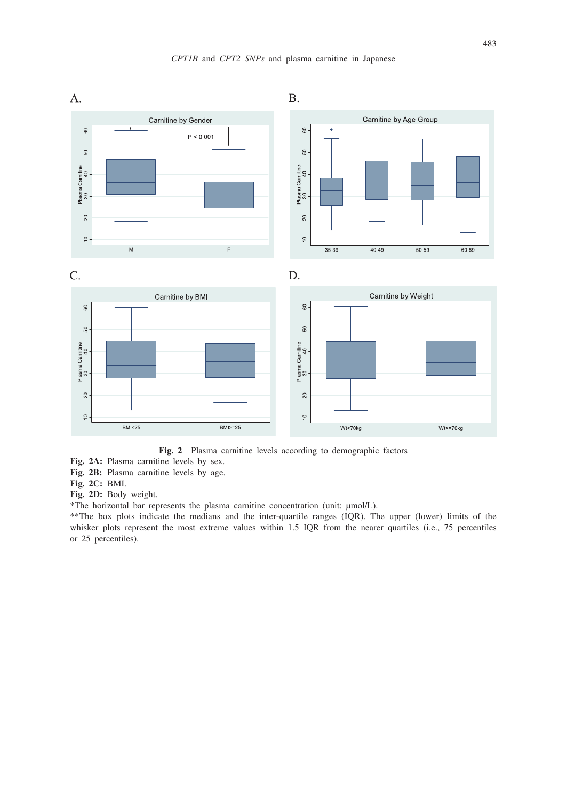

**Fig. 2** Plasma carnitine levels according to demographic factors

**Fig. 2A:** Plasma carnitine levels by sex.

**Fig. 2B:** Plasma carnitine levels by age.

**Fig. 2C:** BMI.

**Fig. 2D:** Body weight.

\*The horizontal bar represents the plasma carnitine concentration (unit: μmol/L).

\*\*The box plots indicate the medians and the inter-quartile ranges (IQR). The upper (lower) limits of the whisker plots represent the most extreme values within 1.5 IQR from the nearer quartiles (i.e., 75 percentiles or 25 percentiles).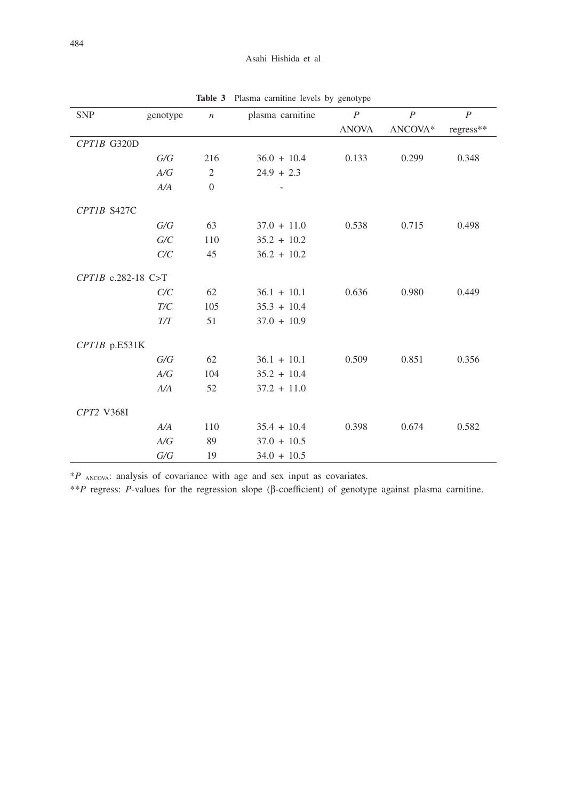| <b>SNP</b>           | genotype | $\boldsymbol{n}$ | plasma carnitine | $\boldsymbol{P}$ | $\boldsymbol{P}$ | $\boldsymbol{P}$ |
|----------------------|----------|------------------|------------------|------------------|------------------|------------------|
|                      |          |                  |                  | <b>ANOVA</b>     | ANCOVA*          | regress**        |
| CPT1B G320D          |          |                  |                  |                  |                  |                  |
|                      | G/G      | 216              | $36.0 + 10.4$    | 0.133            | 0.299            | 0.348            |
|                      | A/G      | $\mathfrak{2}$   | $24.9 + 2.3$     |                  |                  |                  |
|                      | A/A      | $\boldsymbol{0}$ |                  |                  |                  |                  |
| CPT1B S427C          |          |                  |                  |                  |                  |                  |
|                      | G/G      | 63               | $37.0 + 11.0$    | 0.538            | 0.715            | 0.498            |
|                      | G/C      | 110              | $35.2 + 10.2$    |                  |                  |                  |
|                      | C/C      | 45               | $36.2 + 10.2$    |                  |                  |                  |
| $CPTIB$ c.282-18 C>T |          |                  |                  |                  |                  |                  |
|                      | C/C      | 62               | $36.1 + 10.1$    | 0.636            | 0.980            | 0.449            |
|                      | T/C      | 105              | $35.3 + 10.4$    |                  |                  |                  |
|                      | T/T      | 51               | $37.0 + 10.9$    |                  |                  |                  |
| CPT1B p.E531K        |          |                  |                  |                  |                  |                  |
|                      | G/G      | 62               | $36.1 + 10.1$    | 0.509            | 0.851            | 0.356            |
|                      | A/G      | 104              | $35.2 + 10.4$    |                  |                  |                  |
|                      | A/A      | 52               | $37.2 + 11.0$    |                  |                  |                  |
| CPT2 V368I           |          |                  |                  |                  |                  |                  |
|                      | A/A      | 110              | $35.4 + 10.4$    | 0.398            | 0.674            | 0.582            |
|                      | A/G      | 89               | $37.0 + 10.5$    |                  |                  |                  |
|                      | G/G      | 19               | $34.0 + 10.5$    |                  |                  |                  |

**Table 3** Plasma carnitine levels by genotype

\**P* ANCOVA: analysis of covariance with age and sex input as covariates.

\*\**P* regress: *P*-values for the regression slope (β-coefficient) of genotype against plasma carnitine.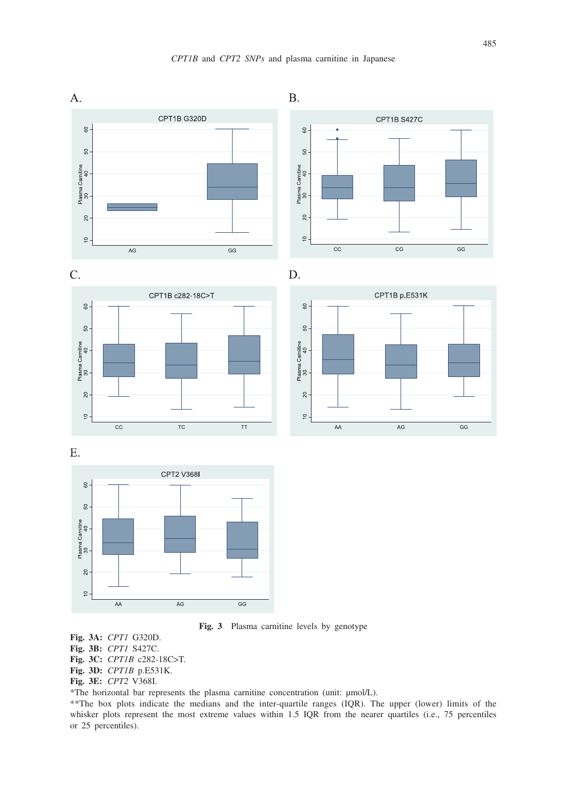









**Fig. 3** Plasma carnitine levels by genotype

**Fig. 3A:** *CPT1* G320D.

**Fig. 3B:** *CPT1* S427C.

**Fig. 3C:** *CPT1B* c282-18C>T.

**Fig. 3D:** *CPT1B* p.E531K.

**Fig. 3E:** *CPT2* V368I.

\*The horizontal bar represents the plasma carnitine concentration (unit: μmol/L).

\*\*The box plots indicate the medians and the inter-quartile ranges (IQR). The upper (lower) limits of the whisker plots represent the most extreme values within 1.5 IQR from the nearer quartiles (i.e., 75 percentiles or 25 percentiles).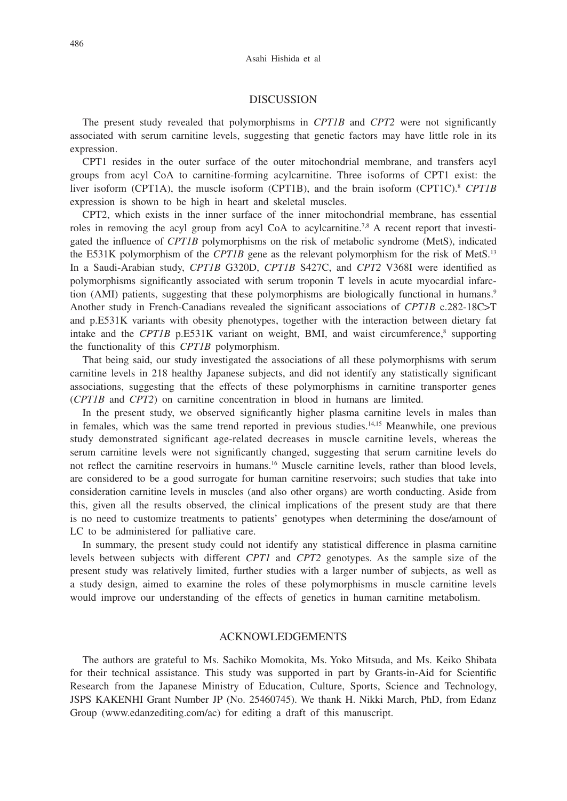## DISCUSSION

The present study revealed that polymorphisms in *CPT1B* and *CPT2* were not significantly associated with serum carnitine levels, suggesting that genetic factors may have little role in its expression.

CPT1 resides in the outer surface of the outer mitochondrial membrane, and transfers acyl groups from acyl CoA to carnitine-forming acylcarnitine. Three isoforms of CPT1 exist: the liver isoform (CPT1A), the muscle isoform (CPT1B), and the brain isoform (CPT1C).<sup>8</sup> *CPT1B* expression is shown to be high in heart and skeletal muscles.

CPT2, which exists in the inner surface of the inner mitochondrial membrane, has essential roles in removing the acyl group from acyl CoA to acylcarnitine.<sup>7,8</sup> A recent report that investigated the influence of *CPT1B* polymorphisms on the risk of metabolic syndrome (MetS), indicated the E531K polymorphism of the *CPT1B* gene as the relevant polymorphism for the risk of MetS.<sup>13</sup> In a Saudi-Arabian study, *CPT1B* G320D, *CPT1B* S427C, and *CPT2* V368I were identified as polymorphisms significantly associated with serum troponin T levels in acute myocardial infarction (AMI) patients, suggesting that these polymorphisms are biologically functional in humans.<sup>9</sup> Another study in French-Canadians revealed the significant associations of *CPT1B* c.282-18C>T and p.E531K variants with obesity phenotypes, together with the interaction between dietary fat intake and the  $CPTIB$  p.E531K variant on weight, BMI, and waist circumference, $\frac{8}{3}$  supporting the functionality of this *CPT1B* polymorphism.

That being said, our study investigated the associations of all these polymorphisms with serum carnitine levels in 218 healthy Japanese subjects, and did not identify any statistically significant associations, suggesting that the effects of these polymorphisms in carnitine transporter genes (*CPT1B* and *CPT2*) on carnitine concentration in blood in humans are limited.

In the present study, we observed significantly higher plasma carnitine levels in males than in females, which was the same trend reported in previous studies.<sup>14,15</sup> Meanwhile, one previous study demonstrated significant age-related decreases in muscle carnitine levels, whereas the serum carnitine levels were not significantly changed, suggesting that serum carnitine levels do not reflect the carnitine reservoirs in humans.16 Muscle carnitine levels, rather than blood levels, are considered to be a good surrogate for human carnitine reservoirs; such studies that take into consideration carnitine levels in muscles (and also other organs) are worth conducting. Aside from this, given all the results observed, the clinical implications of the present study are that there is no need to customize treatments to patients' genotypes when determining the dose/amount of LC to be administered for palliative care.

In summary, the present study could not identify any statistical difference in plasma carnitine levels between subjects with different *CPT1* and *CPT2* genotypes. As the sample size of the present study was relatively limited, further studies with a larger number of subjects, as well as a study design, aimed to examine the roles of these polymorphisms in muscle carnitine levels would improve our understanding of the effects of genetics in human carnitine metabolism.

## ACKNOWLEDGEMENTS

The authors are grateful to Ms. Sachiko Momokita, Ms. Yoko Mitsuda, and Ms. Keiko Shibata for their technical assistance. This study was supported in part by Grants-in-Aid for Scientific Research from the Japanese Ministry of Education, Culture, Sports, Science and Technology, JSPS KAKENHI Grant Number JP (No. 25460745). We thank H. Nikki March, PhD, from Edanz Group (www.edanzediting.com/ac) for editing a draft of this manuscript.